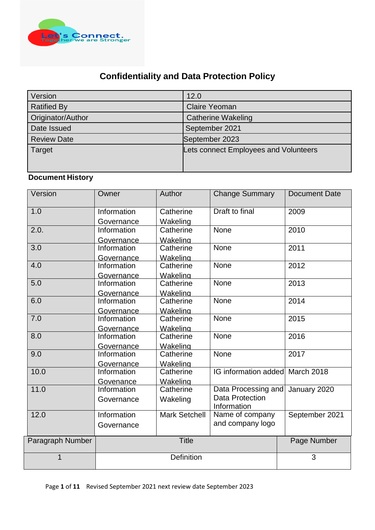

# **Confidentiality and Data Protection Policy**

| Version            | 12.0                                  |
|--------------------|---------------------------------------|
| <b>Ratified By</b> | <b>Claire Yeoman</b>                  |
| Originator/Author  | <b>Catherine Wakeling</b>             |
| Date Issued        | September 2021                        |
| <b>Review Date</b> | September 2023                        |
| Target             | Lets connect Employees and Volunteers |

# **Document History**

| Version          | Owner       | Author               | <b>Change Summary</b>       | <b>Document Date</b> |
|------------------|-------------|----------------------|-----------------------------|----------------------|
| 1.0              | Information | Catherine            | Draft to final              | 2009                 |
|                  | Governance  | Wakeling             |                             |                      |
| 2.0.             | Information | Catherine            | <b>None</b>                 | 2010                 |
|                  | Governance  | Wakeling             |                             |                      |
| 3.0              | Information | Catherine            | <b>None</b>                 | 2011                 |
|                  | Governance  | Wakeling             |                             |                      |
| 4.0              | Information | Catherine            | <b>None</b>                 | 2012                 |
|                  | Governance  | Wakeling             |                             |                      |
| 5.0              | Information | Catherine            | <b>None</b>                 | 2013                 |
|                  | Governance  | Wakeling             |                             |                      |
| 6.0              | Information | Catherine            | <b>None</b>                 | 2014                 |
|                  | Governance  | Wakeling             |                             |                      |
| 7.0              | Information | Catherine            | <b>None</b>                 | 2015                 |
|                  | Governance  | Wakeling             |                             |                      |
| 8.0              | Information | Catherine            | <b>None</b>                 | 2016                 |
|                  | Governance  | Wakeling             |                             |                      |
| 9.0              | Information | Catherine            | <b>None</b>                 | 2017                 |
|                  | Governance  | Wakeling             |                             |                      |
| 10.0             | Information | Catherine            | <b>IG</b> information added | March 2018           |
|                  | Govenance   | Wakeling             |                             |                      |
| 11.0             | Information | Catherine            | Data Processing and         | January 2020         |
|                  | Governance  | Wakeling             | Data Protection             |                      |
|                  |             |                      | Information                 |                      |
| 12.0             | Information | <b>Mark Setchell</b> | Name of company             | September 2021       |
|                  | Governance  |                      | and company logo            |                      |
| Paragraph Number |             | <b>Title</b>         |                             | Page Number          |
|                  |             |                      |                             |                      |
| 1                |             | Definition           |                             | 3                    |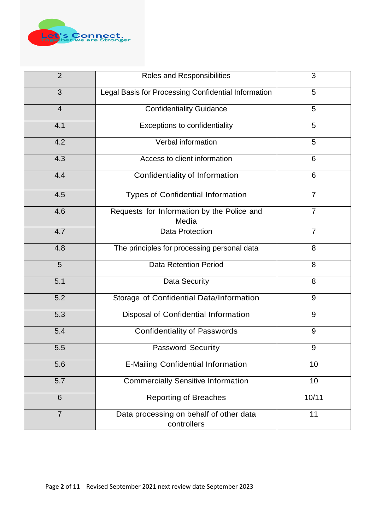

| $\overline{2}$ | Roles and Responsibilities                             | 3              |
|----------------|--------------------------------------------------------|----------------|
| 3              | Legal Basis for Processing Confidential Information    | 5              |
| $\overline{4}$ | <b>Confidentiality Guidance</b>                        | 5              |
| 4.1            | Exceptions to confidentiality                          | 5              |
| 4.2            | Verbal information                                     | 5              |
| 4.3            | Access to client information                           | 6              |
| 4.4            | Confidentiality of Information                         | 6              |
| 4.5            | <b>Types of Confidential Information</b>               | $\overline{7}$ |
| 4.6            | Requests for Information by the Police and<br>Media    | $\overline{7}$ |
| 4.7            | <b>Data Protection</b>                                 | $\overline{7}$ |
| 4.8            | The principles for processing personal data            | 8              |
| 5              | <b>Data Retention Period</b>                           | 8              |
| 5.1            | Data Security                                          | 8              |
| 5.2            | Storage of Confidential Data/Information               | 9              |
| 5.3            | Disposal of Confidential Information                   | 9              |
| 5.4            | <b>Confidentiality of Passwords</b>                    | $9\,$          |
| 5.5            | Password Security                                      | 9              |
| 5.6            | <b>E-Mailing Confidential Information</b>              | 10             |
| 5.7            | <b>Commercially Sensitive Information</b>              | 10             |
| 6              | <b>Reporting of Breaches</b>                           | 10/11          |
| $\overline{7}$ | Data processing on behalf of other data<br>controllers | 11             |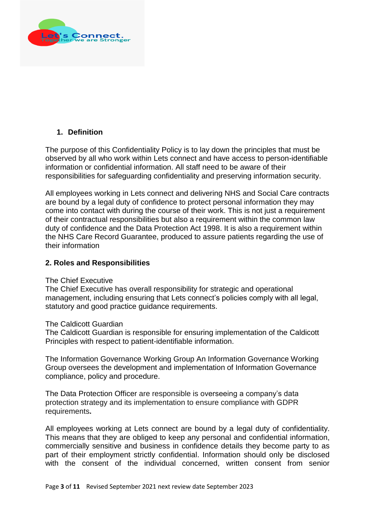

# **1. Definition**

The purpose of this Confidentiality Policy is to lay down the principles that must be observed by all who work within Lets connect and have access to person-identifiable information or confidential information. All staff need to be aware of their responsibilities for safeguarding confidentiality and preserving information security.

All employees working in Lets connect and delivering NHS and Social Care contracts are bound by a legal duty of confidence to protect personal information they may come into contact with during the course of their work. This is not just a requirement of their contractual responsibilities but also a requirement within the common law duty of confidence and the Data Protection Act 1998. It is also a requirement within the NHS Care Record Guarantee, produced to assure patients regarding the use of their information

### **2. Roles and Responsibilities**

#### The Chief Executive

The Chief Executive has overall responsibility for strategic and operational management, including ensuring that Lets connect's policies comply with all legal, statutory and good practice guidance requirements.

#### The Caldicott Guardian

The Caldicott Guardian is responsible for ensuring implementation of the Caldicott Principles with respect to patient-identifiable information.

The Information Governance Working Group An Information Governance Working Group oversees the development and implementation of Information Governance compliance, policy and procedure.

The Data Protection Officer are responsible is overseeing a company"s data protection strategy and its implementation to ensure compliance with GDPR requirements**.**

All employees working at Lets connect are bound by a legal duty of confidentiality. This means that they are obliged to keep any personal and confidential information, commercially sensitive and business in confidence details they become party to as part of their employment strictly confidential. Information should only be disclosed with the consent of the individual concerned, written consent from senior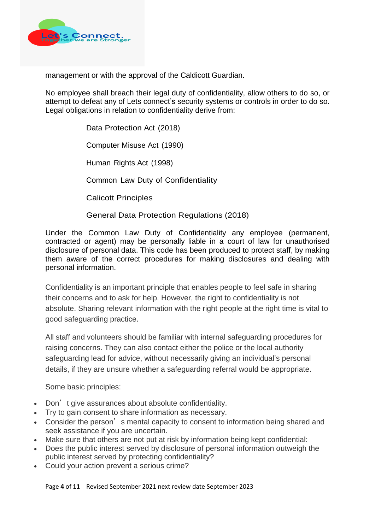

management or with the approval of the Caldicott Guardian.

No employee shall breach their legal duty of confidentiality, allow others to do so, or attempt to defeat any of Lets connect's security systems or controls in order to do so. Legal obligations in relation to confidentiality derive from:

> Data Protection Act (2018) Computer Misuse Act (1990) Human Rights Act (1998) Common Law Duty of Confidentiality Calicott Principles General Data Protection Regulations (2018)

Under the Common Law Duty of Confidentiality any employee (permanent, contracted or agent) may be personally liable in a court of law for unauthorised disclosure of personal data. This code has been produced to protect staff, by making them aware of the correct procedures for making disclosures and dealing with personal information.

Confidentiality is an important principle that enables people to feel safe in sharing their concerns and to ask for help. However, the right to confidentiality is not absolute. Sharing relevant information with the right people at the right time is vital to good safeguarding practice.

All staff and volunteers should be familiar with internal safeguarding procedures for raising concerns. They can also contact either the police or the local authority safeguarding lead for advice, without necessarily giving an individual's personal details, if they are unsure whether a safeguarding referral would be appropriate.

Some basic principles:

- Don't give assurances about absolute confidentiality.
- Try to gain consent to share information as necessary.
- Consider the person's mental capacity to consent to information being shared and seek assistance if you are uncertain.
- Make sure that others are not put at risk by information being kept confidential:
- Does the public interest served by disclosure of personal information outweigh the public interest served by protecting confidentiality?
- Could your action prevent a serious crime?

Page **4** of **11** Revised September 2021 next review date September 2023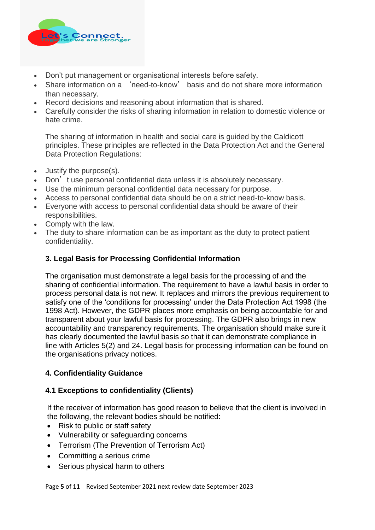

- Don"t put management or organisational interests before safety.
- Share information on a 'need-to-know' basis and do not share more information than necessary.
- Record decisions and reasoning about information that is shared.
- Carefully consider the risks of sharing information in relation to domestic violence or hate crime.

The sharing of information in health and social care is guided by the Caldicott principles. These principles are reflected in the Data Protection Act and the General Data Protection Regulations:

- Justify the purpose(s).
- Don't use personal confidential data unless it is absolutely necessary.
- Use the minimum personal confidential data necessary for purpose.
- Access to personal confidential data should be on a strict need-to-know basis.
- Everyone with access to personal confidential data should be aware of their responsibilities.
- Comply with the law.
- The duty to share information can be as important as the duty to protect patient confidentiality.

# **3. Legal Basis for Processing Confidential Information**

The organisation must demonstrate a legal basis for the processing of and the sharing of confidential information. The requirement to have a lawful basis in order to process personal data is not new. It replaces and mirrors the previous requirement to satisfy one of the 'conditions for processing' under the Data Protection Act 1998 (the 1998 Act). However, the GDPR places more emphasis on being accountable for and transparent about your lawful basis for processing. The GDPR also brings in new accountability and transparency requirements. The organisation should make sure it has clearly documented the lawful basis so that it can demonstrate compliance in line with Articles 5(2) and 24. Legal basis for processing information can be found on the organisations privacy notices.

# **4. Confidentiality Guidance**

# **4.1 Exceptions to confidentiality (Clients)**

If the receiver of information has good reason to believe that the client is involved in the following, the relevant bodies should be notified:

- Risk to public or staff safety
- Vulnerability or safeguarding concerns
- Terrorism (The Prevention of Terrorism Act)
- Committing a serious crime
- Serious physical harm to others

Page **5** of **11** Revised September 2021 next review date September 2023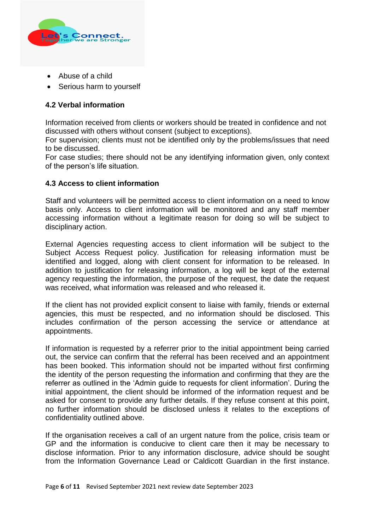

- Abuse of a child
- Serious harm to yourself

# **4.2 Verbal information**

Information received from clients or workers should be treated in confidence and not discussed with others without consent (subject to exceptions).

For supervision; clients must not be identified only by the problems/issues that need to be discussed.

For case studies; there should not be any identifying information given, only context of the person"s life situation.

### **4.3 Access to client information**

Staff and volunteers will be permitted access to client information on a need to know basis only. Access to client information will be monitored and any staff member accessing information without a legitimate reason for doing so will be subject to disciplinary action.

External Agencies requesting access to client information will be subject to the Subject Access Request policy. Justification for releasing information must be identified and logged, along with client consent for information to be released. In addition to justification for releasing information, a log will be kept of the external agency requesting the information, the purpose of the request, the date the request was received, what information was released and who released it.

If the client has not provided explicit consent to liaise with family, friends or external agencies, this must be respected, and no information should be disclosed. This includes confirmation of the person accessing the service or attendance at appointments.

If information is requested by a referrer prior to the initial appointment being carried out, the service can confirm that the referral has been received and an appointment has been booked. This information should not be imparted without first confirming the identity of the person requesting the information and confirming that they are the referrer as outlined in the "Admin guide to requests for client information". During the initial appointment, the client should be informed of the information request and be asked for consent to provide any further details. If they refuse consent at this point, no further information should be disclosed unless it relates to the exceptions of confidentiality outlined above.

If the organisation receives a call of an urgent nature from the police, crisis team or GP and the information is conducive to client care then it may be necessary to disclose information. Prior to any information disclosure, advice should be sought from the Information Governance Lead or Caldicott Guardian in the first instance.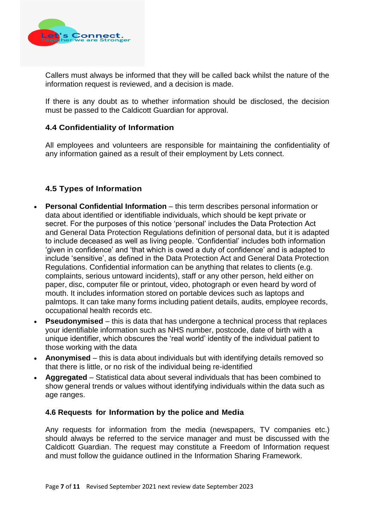

Callers must always be informed that they will be called back whilst the nature of the information request is reviewed, and a decision is made.

If there is any doubt as to whether information should be disclosed, the decision must be passed to the Caldicott Guardian for approval.

# **4.4 Confidentiality of Information**

All employees and volunteers are responsible for maintaining the confidentiality of any information gained as a result of their employment by Lets connect.

# **4.5 Types of Information**

- **Personal Confidential Information**  this term describes personal information or data about identified or identifiable individuals, which should be kept private or secret. For the purposes of this notice "personal" includes the Data Protection Act and General Data Protection Regulations definition of personal data, but it is adapted to include deceased as well as living people. "Confidential" includes both information 'given in confidence' and 'that which is owed a duty of confidence' and is adapted to include "sensitive", as defined in the Data Protection Act and General Data Protection Regulations. Confidential information can be anything that relates to clients (e.g. complaints, serious untoward incidents), staff or any other person, held either on paper, disc, computer file or printout, video, photograph or even heard by word of mouth. It includes information stored on portable devices such as laptops and palmtops. It can take many forms including patient details, audits, employee records, occupational health records etc.
- **Pseudonymised** this is data that has undergone a technical process that replaces your identifiable information such as NHS number, postcode, date of birth with a unique identifier, which obscures the "real world" identity of the individual patient to those working with the data
- **Anonymised** this is data about individuals but with identifying details removed so that there is little, or no risk of the individual being re-identified
- **Aggregated** Statistical data about several individuals that has been combined to show general trends or values without identifying individuals within the data such as age ranges.

#### **4.6 Requests for Information by the police and Media**

Any requests for information from the media (newspapers, TV companies etc.) should always be referred to the service manager and must be discussed with the Caldicott Guardian. The request may constitute a Freedom of Information request and must follow the guidance outlined in the Information Sharing Framework.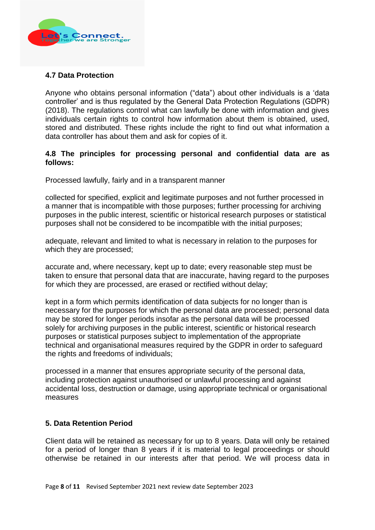

### **4.7 Data Protection**

Anyone who obtains personal information ("data") about other individuals is a "data controller" and is thus regulated by the General Data Protection Regulations (GDPR) (2018). The regulations control what can lawfully be done with information and gives individuals certain rights to control how information about them is obtained, used, stored and distributed. These rights include the right to find out what information a data controller has about them and ask for copies of it.

#### **4.8 The principles for processing personal and confidential data are as follows:**

Processed lawfully, fairly and in a transparent manner

collected for specified, explicit and legitimate purposes and not further processed in a manner that is incompatible with those purposes; further processing for archiving purposes in the public interest, scientific or historical research purposes or statistical purposes shall not be considered to be incompatible with the initial purposes;

adequate, relevant and limited to what is necessary in relation to the purposes for which they are processed;

accurate and, where necessary, kept up to date; every reasonable step must be taken to ensure that personal data that are inaccurate, having regard to the purposes for which they are processed, are erased or rectified without delay;

kept in a form which permits identification of data subjects for no longer than is necessary for the purposes for which the personal data are processed; personal data may be stored for longer periods insofar as the personal data will be processed solely for archiving purposes in the public interest, scientific or historical research purposes or statistical purposes subject to implementation of the appropriate technical and organisational measures required by the GDPR in order to safeguard the rights and freedoms of individuals;

processed in a manner that ensures appropriate security of the personal data, including protection against unauthorised or unlawful processing and against accidental loss, destruction or damage, using appropriate technical or organisational measures

#### **5. Data Retention Period**

Client data will be retained as necessary for up to 8 years. Data will only be retained for a period of longer than 8 years if it is material to legal proceedings or should otherwise be retained in our interests after that period. We will process data in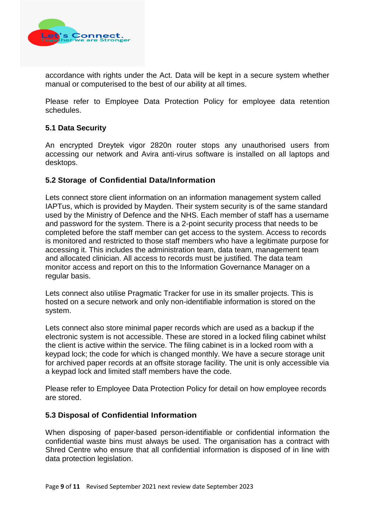

accordance with rights under the Act. Data will be kept in a secure system whether manual or computerised to the best of our ability at all times.

Please refer to Employee Data Protection Policy for employee data retention schedules.

### **5.1 Data Security**

An encrypted Dreytek vigor 2820n router stops any unauthorised users from accessing our network and Avira anti-virus software is installed on all laptops and desktops.

### **5.2 Storage of Confidential Data/Information**

Lets connect store client information on an information management system called IAPTus, which is provided by Mayden. Their system security is of the same standard used by the Ministry of Defence and the NHS. Each member of staff has a username and password for the system. There is a 2-point security process that needs to be completed before the staff member can get access to the system. Access to records is monitored and restricted to those staff members who have a legitimate purpose for accessing it. This includes the administration team, data team, management team and allocated clinician. All access to records must be justified. The data team monitor access and report on this to the Information Governance Manager on a regular basis.

Lets connect also utilise Pragmatic Tracker for use in its smaller projects. This is hosted on a secure network and only non-identifiable information is stored on the system.

Lets connect also store minimal paper records which are used as a backup if the electronic system is not accessible. These are stored in a locked filing cabinet whilst the client is active within the service. The filing cabinet is in a locked room with a keypad lock; the code for which is changed monthly. We have a secure storage unit for archived paper records at an offsite storage facility. The unit is only accessible via a keypad lock and limited staff members have the code.

Please refer to Employee Data Protection Policy for detail on how employee records are stored.

#### **5.3 Disposal of Confidential Information**

When disposing of paper-based person-identifiable or confidential information the confidential waste bins must always be used. The organisation has a contract with Shred Centre who ensure that all confidential information is disposed of in line with data protection legislation.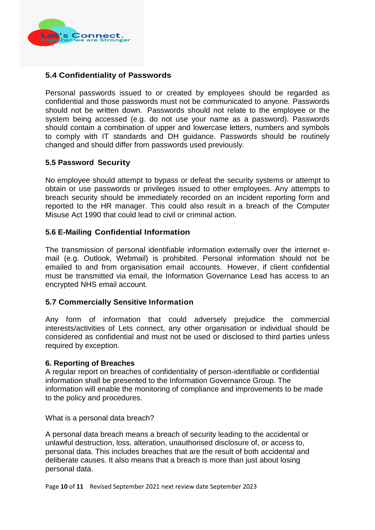

# **5.4 Confidentiality of Passwords**

Personal passwords issued to or created by employees should be regarded as confidential and those passwords must not be communicated to anyone. Passwords should not be written down. Passwords should not relate to the employee or the system being accessed (e.g. do not use your name as a password). Passwords should contain a combination of upper and lowercase letters, numbers and symbols to comply with IT standards and DH guidance. Passwords should be routinely changed and should differ from passwords used previously.

### **5.5 Password Security**

No employee should attempt to bypass or defeat the security systems or attempt to obtain or use passwords or privileges issued to other employees. Any attempts to breach security should be immediately recorded on an incident reporting form and reported to the HR manager. This could also result in a breach of the Computer Misuse Act 1990 that could lead to civil or criminal action.

### **5.6 E-Mailing Confidential Information**

The transmission of personal identifiable information externally over the internet email (e.g. Outlook, Webmail) is prohibited. Personal information should not be emailed to and from organisation email accounts. However, if client confidential must be transmitted via email, the Information Governance Lead has access to an encrypted NHS email account.

#### **5.7 Commercially Sensitive Information**

Any form of information that could adversely prejudice the commercial interests/activities of Lets connect, any other organisation or individual should be considered as confidential and must not be used or disclosed to third parties unless required by exception.

#### **6. Reporting of Breaches**

A regular report on breaches of confidentiality of person-identifiable or confidential information shall be presented to the Information Governance Group. The information will enable the monitoring of compliance and improvements to be made to the policy and procedures.

What is a personal data breach?

A personal data breach means a breach of security leading to the accidental or unlawful destruction, loss, alteration, unauthorised disclosure of, or access to, personal data. This includes breaches that are the result of both accidental and deliberate causes. It also means that a breach is more than just about losing personal data.